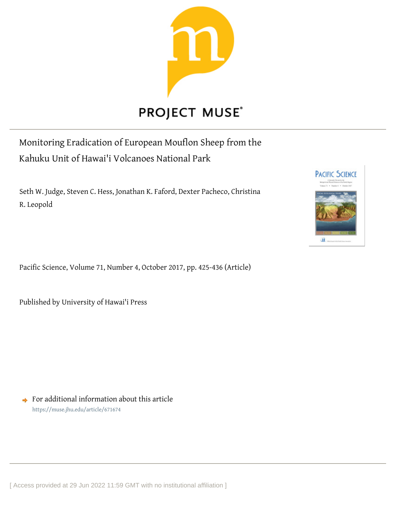

# **PROJECT MUSE®**

Monitoring Eradication of European Mouflon Sheep from the Kahuku Unit of Hawai'i Volcanoes National Park

Seth W. Judge, Steven C. Hess, Jonathan K. Faford, Dexter Pacheco, Christina R. Leopold

Pacific Science, Volume 71, Number 4, October 2017, pp. 425-436 (Article)

Published by University of Hawai'i Press

 $\rightarrow$  For additional information about this article <https://muse.jhu.edu/article/671674>

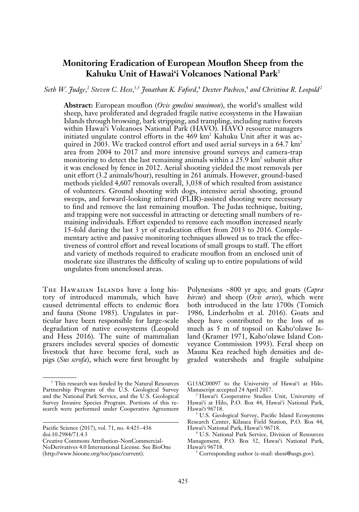# **Monitoring Eradication of European Mouflon Sheep from the Kahuku Unit of Hawai'i Volcanoes National Park**<sup>1</sup>

Seth W. Judge,<sup>2</sup> Steven C. Hess,<sup>3,5</sup> Jonathan K. Faford,<sup>4</sup> Dexter Pacheco,<sup>4</sup> and Christina R. Leopold<sup>2</sup>

**Abstract:** European mouflon (*Ovis gmelini musimon*), the world's smallest wild sheep, have proliferated and degraded fragile native ecosystems in the Hawaiian Islands through browsing, bark stripping, and trampling, including native forests within Hawai'i Volcanoes National Park (HAVO). HAVO resource managers initiated ungulate control efforts in the 469 km<sup>2</sup> Kahuku Unit after it was acquired in 2003. We tracked control effort and used aerial surveys in a  $64.7 \text{ km}^2$ area from 2004 to 2017 and more intensive ground surveys and camera-trap monitoring to detect the last remaining animals within a 25.9 km<sup>2</sup> subunit after it was enclosed by fence in 2012. Aerial shooting yielded the most removals per unit effort (3.2 animals/hour), resulting in 261 animals. However, ground-based methods yielded 4,607 removals overall, 3,038 of which resulted from assistance of volunteers. Ground shooting with dogs, intensive aerial shooting, ground sweeps, and forward-looking infrared (FLIR)-assisted shooting were necessary to find and remove the last remaining mouflon. The Judas technique, baiting, and trapping were not successful in attracting or detecting small numbers of remaining individuals. Effort expended to remove each mouflon increased nearly 15-fold during the last 3 yr of eradication effort from 2013 to 2016. Complementary active and passive monitoring techniques allowed us to track the effectiveness of control effort and reveal locations of small groups to staff. The effort and variety of methods required to eradicate mouflon from an enclosed unit of moderate size illustrates the difficulty of scaling up to entire populations of wild ungulates from unenclosed areas.

THE HAWAIIAN ISLANDS have a long history of introduced mammals, which have caused detrimental effects to endemic flora and fauna (Stone 1985). Ungulates in particular have been responsible for large-scale degradation of native ecosystems (Leopold and Hess 2016). The suite of mammalian grazers includes several species of domestic livestock that have become feral, such as pigs (*Sus scrofa*), which were first brought by

Polynesians ~800 yr ago; and goats (*Capra hircus*) and sheep (*Ovis aries*), which were both introduced in the late 1700s (Tomich 1986, Linderholm et al. 2016). Goats and sheep have contributed to the loss of as much as 5 m of topsoil on Kaho'olawe Island (Kramer 1971, Kaho'olawe Island Conveyance Commission 1993). Feral sheep on Mauna Kea reached high densities and degraded watersheds and fragile subalpine

<sup>&</sup>lt;sup>1</sup> This research was funded by the Natural Resources Partnership Program of the U.S. Geological Survey and the National Park Service, and the U.S. Geological Survey Invasive Species Program. Portions of this research were performed under Cooperative Agreement

Pacific Science (2017), vol. 71, no. 4:425–436 doi:10.2984/71.4.3

Creative Commons Attribution-NonCommercial-NoDerivatives 4.0 International License. See BioOne (http://www.bioone.org/toc/pasc/current).

G13AC00097 to the University of Hawai'i at Hilo. Manuscript accepted 24 April 2017.

<sup>2</sup> Hawai'i Cooperative Studies Unit, University of Hawai'i at Hilo, P.O. Box 44, Hawai'i National Park, Hawai'i 96718.

<sup>&</sup>lt;sup>3</sup> U.S. Geological Survey, Pacific Island Ecosystems Research Center, Kïlauea Field Station, P.O. Box 44, Hawai'i National Park, Hawai'i 96718.

<sup>4</sup> U.S. National Park Service, Division of Resources Management, P.O. Box 52, Hawai'i National Park, Hawai'i 96718.

<sup>&</sup>lt;sup>5</sup> Corresponding author (e-mail: shess@usgs.gov).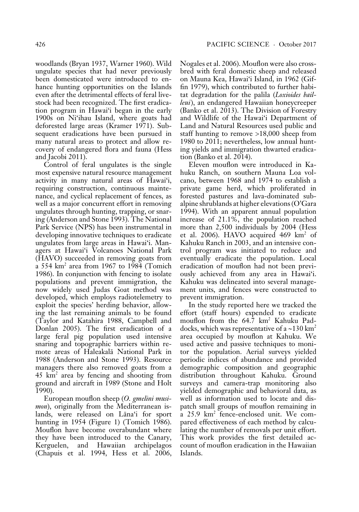woodlands (Bryan 1937, Warner 1960). Wild ungulate species that had never previously been domesticated were introduced to enhance hunting opportunities on the Islands even after the detrimental effects of feral livestock had been recognized. The first eradication program in Hawai'i began in the early 1900s on Ni'ihau Island, where goats had deforested large areas (Kramer 1971). Subsequent eradications have been pursued in many natural areas to protect and allow recovery of endangered flora and fauna (Hess and Jacobi 2011).

Control of feral ungulates is the single most expensive natural resource management activity in many natural areas of Hawai'i, requiring construction, continuous maintenance, and cyclical replacement of fences, as well as a major concurrent effort in removing ungulates through hunting, trapping, or snaring (Anderson and Stone 1993). The National Park Service (NPS) has been instrumental in developing innovative techniques to eradicate ungulates from large areas in Hawai'i. Managers at Hawai'i Volcanoes National Park (HAVO) succeeded in removing goats from a 554 km<sup>2</sup> area from 1967 to 1984 (Tomich 1986). In conjunction with fencing to isolate populations and prevent immigration, the now widely used Judas Goat method was developed, which employs radiotelemetry to exploit the species' herding behavior, allowing the last remaining animals to be found (Taylor and Katahira 1988, Campbell and Donlan 2005). The first eradication of a large feral pig population used intensive snaring and topographic barriers within remote areas of Haleakalä National Park in 1988 (Anderson and Stone 1993). Resource managers there also removed goats from a  $45 \text{ km}^2$  area by fencing and shooting from ground and aircraft in 1989 (Stone and Holt 1990).

European mouflon sheep (*O. gmelini musimon*), originally from the Mediterranean islands, were released on Läna'i for sport hunting in 1954 (Figure 1) (Tomich 1986). Mouflon have become overabundant where they have been introduced to the Canary, Kerguelen, and Hawaiian archipelagos (Chapuis et al. 1994, Hess et al. 2006, Nogales et al. 2006). Mouflon were also crossbred with feral domestic sheep and released on Mauna Kea, Hawai'i Island, in 1962 (Giffin 1979), which contributed to further habitat degradation for the palila (*Loxioides bailleui*), an endangered Hawaiian honeycreeper (Banko et al. 2013). The Division of Forestry and Wildlife of the Hawai'i Department of Land and Natural Resources used public and staff hunting to remove >18,000 sheep from 1980 to 2011; nevertheless, low annual hunting yields and immigration thwarted eradication (Banko et al. 2014).

Eleven mouflon were introduced in Kahuku Ranch, on southern Mauna Loa volcano, between 1968 and 1974 to establish a private game herd, which proliferated in forested pastures and lava-dominated subalpine shrublands at higher elevations (O'Gara 1994). With an apparent annual population increase of 21.1%, the population reached more than 2,500 individuals by 2004 (Hess et al. 2006). HAVO acquired 469 km<sup>2</sup> of Kahuku Ranch in 2003, and an intensive control program was initiated to reduce and eventually eradicate the population. Local eradication of mouflon had not been previously achieved from any area in Hawai'i. Kahuku was delineated into several management units, and fences were constructed to prevent immigration.

In the study reported here we tracked the effort (staff hours) expended to eradicate mouflon from the 64.7 km2 Kahuku Paddocks, which was representative of a  $\sim$ 130 km<sup>2</sup> area occupied by mouflon at Kahuku. We used active and passive techniques to monitor the population. Aerial surveys yielded periodic indices of abundance and provided demographic composition and geographic distribution throughout Kahuku. Ground surveys and camera-trap monitoring also yielded demographic and behavioral data, as well as information used to locate and dispatch small groups of mouflon remaining in a 25.9 km2 fence-enclosed unit. We compared effectiveness of each method by calculating the number of removals per unit effort. This work provides the first detailed account of mouflon eradication in the Hawaiian Islands.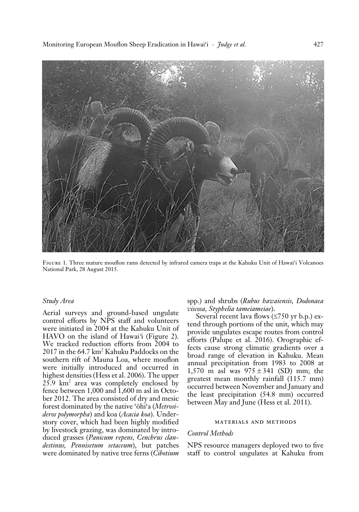

Figure 1. Three mature mouflon rams detected by infrared camera traps at the Kahuku Unit of Hawai'i Volcanoes National Park, 28 August 2015.

#### *Study Area*

Aerial surveys and ground-based ungulate control efforts by NPS staff and volunteers were initiated in 2004 at the Kahuku Unit of HAVO on the island of Hawai*'*i (Figure 2). We tracked reduction efforts from 2004 to 2017 in the 64.7 km2 Kahuku Paddocks on the southern rift of Mauna Loa, where mouflon were initially introduced and occurred in highest densities (Hess et al. 2006). The upper  $25.9 \text{ km}^2$  area was completely enclosed by fence between 1,000 and 1,600 m asl in October 2012. The area consisted of dry and mesic forest dominated by the native 'öhi'a (*Metrosideros polymorpha*) and koa (*Acacia koa*). Understory cover, which had been highly modified by livestock grazing, was dominated by introduced grasses (*Panicum repens, Cenchrus clandestinus, Pennisetum setaceum*), but patches were dominated by native tree ferns (*Cibotium*

spp.) and shrubs (*Rubus hawaiensis, Dodonaea viscosa, Styphelia tameiameiae*).

Several recent lava flows (≤750 yr b.p.) extend through portions of the unit, which may provide ungulates escape routes from control efforts (Palupe et al. 2016). Orographic effects cause strong climatic gradients over a broad range of elevation in Kahuku. Mean annual precipitation from 1983 to 2008 at 1,570 m asl was  $975 \pm 341$  (SD) mm; the greatest mean monthly rainfall (115.7 mm) occurred between November and January and the least precipitation (54.8 mm) occurred between May and June (Hess et al. 2011).

### materials and methods

# *Control Methods*

NPS resource managers deployed two to five staff to control ungulates at Kahuku from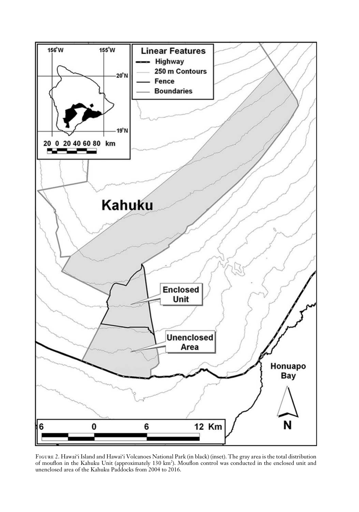

Figure 2. Hawai'i Island and Hawai'i Volcanoes National Park (in black) (inset). The gray area is the total distribution of mouflon in the Kahuku Unit (approximately 130 km<sup>2</sup>). Mouflon control was conducted in the enclosed unit and unenclosed area of the Kahuku Paddocks from 2004 to 2016.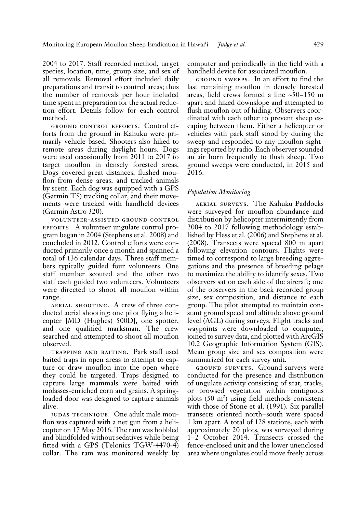2004 to 2017. Staff recorded method, target species, location, time, group size, and sex of all removals. Removal effort included daily preparations and transit to control areas; thus the number of removals per hour included time spent in preparation for the actual reduction effort. Details follow for each control method.

ground control efforts. Control efforts from the ground in Kahuku were primarily vehicle-based. Shooters also hiked to remote areas during daylight hours. Dogs were used occasionally from 2011 to 2017 to target mouflon in densely forested areas. Dogs covered great distances, flushed mouflon from dense areas, and tracked animals by scent. Each dog was equipped with a GPS (Garmin T5) tracking collar, and their movements were tracked with handheld devices (Garmin Astro 320).

volunteer-assisted ground control EFFORTS. A volunteer ungulate control program began in 2004 (Stephens et al. 2008) and concluded in 2012. Control efforts were conducted primarily once a month and spanned a total of 136 calendar days. Three staff members typically guided four volunteers. One staff member scouted and the other two staff each guided two volunteers. Volunteers were directed to shoot all mouflon within range.

aerial shooting. A crew of three conducted aerial shooting: one pilot flying a helicopter [MD (Hughes) 500D], one spotter, and one qualified marksman. The crew searched and attempted to shoot all mouflon observed.

trapping and baiting. Park staff used baited traps in open areas to attempt to capture or draw mouflon into the open where they could be targeted. Traps designed to capture large mammals were baited with molasses-enriched corn and grains. A springloaded door was designed to capture animals alive.

judas technique. One adult male mouflon was captured with a net gun from a helicopter on 17 May 2016. The ram was hobbled and blindfolded without sedatives while being fitted with a GPS (Telonics TGW-4470-4) collar. The ram was monitored weekly by computer and periodically in the field with a handheld device for associated mouflon.

ground sweeps. In an effort to find the last remaining mouflon in densely forested areas, field crews formed a line  $~50-150$  m apart and hiked downslope and attempted to flush mouflon out of hiding. Observers coordinated with each other to prevent sheep escaping between them. Either a helicopter or vehicles with park staff stood by during the sweep and responded to any mouflon sightings reported by radio. Each observer sounded an air horn frequently to flush sheep. Two ground sweeps were conducted, in 2015 and 2016.

# *Population Monitoring*

aerial surveys. The Kahuku Paddocks were surveyed for mouflon abundance and distribution by helicopter intermittently from 2004 to 2017 following methodology established by Hess et al. (2006) and Stephens et al. (2008). Transects were spaced 800 m apart following elevation contours. Flights were timed to correspond to large breeding aggregations and the presence of breeding pelage to maximize the ability to identify sexes. Two observers sat on each side of the aircraft; one of the observers in the back recorded group size, sex composition, and distance to each group. The pilot attempted to maintain constant ground speed and altitude above ground level (AGL) during surveys. Flight tracks and waypoints were downloaded to computer, joined to survey data, and plotted with ArcGIS 10.2 Geographic Information System (GIS). Mean group size and sex composition were summarized for each survey unit.

ground surveys. Ground surveys were conducted for the presence and distribution of ungulate activity consisting of scat, tracks, or browsed vegetation within contiguous plots  $(50 \text{ m}^2)$  using field methods consistent with those of Stone et al. (1991). Six parallel transects oriented north–south were spaced 1 km apart. A total of 128 stations, each with approximately 20 plots, was surveyed during 1–2 October 2014. Transects crossed the fence-enclosed unit and the lower unenclosed area where ungulates could move freely across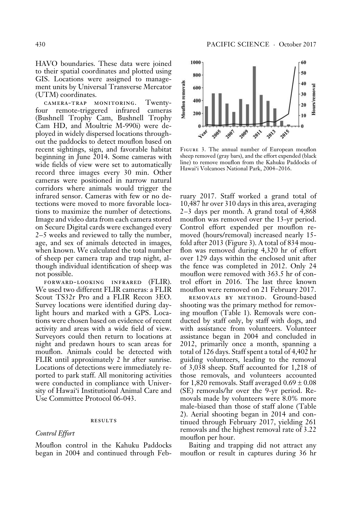HAVO boundaries. These data were joined to their spatial coordinates and plotted using GIS. Locations were assigned to management units by Universal Transverse Mercator (UTM) coordinates.

camera-trap monitoring. Twentyfour remote-triggered infrared cameras (Bushnell Trophy Cam, Bushnell Trophy Cam HD, and Moultrie M-990i) were deployed in widely dispersed locations throughout the paddocks to detect mouflon based on recent sightings, sign, and favorable habitat beginning in June 2014. Some cameras with wide fields of view were set to automatically record three images every 30 min. Other cameras were positioned in narrow natural corridors where animals would trigger the infrared sensor. Cameras with few or no detections were moved to more favorable locations to maximize the number of detections. Image and video data from each camera stored on Secure Digital cards were exchanged every 2–5 weeks and reviewed to tally the number, age, and sex of animals detected in images, when known. We calculated the total number of sheep per camera trap and trap night, although individual identification of sheep was not possible.

forward-looking infrared (FLIR). We used two different FLIR cameras: a FLIR Scout TS32r Pro and a FLIR Recon 3EO. Survey locations were identified during daylight hours and marked with a GPS. Locations were chosen based on evidence of recent activity and areas with a wide field of view. Surveyors could then return to locations at night and predawn hours to scan areas for mouflon. Animals could be detected with FLIR until approximately 2 hr after sunrise. Locations of detections were immediately reported to park staff. All monitoring activities were conducted in compliance with University of Hawai'i Institutional Animal Care and Use Committee Protocol 06-043.

#### **RESULTS**

#### *Control Effort*

Mouflon control in the Kahuku Paddocks began in 2004 and continued through Feb-



Figure 3. The annual number of European mouflon sheep removed (gray bars), and the effort expended (black line) to remove mouflon from the Kahuku Paddocks of Hawai'i Volcanoes National Park, 2004–2016.

ruary 2017. Staff worked a grand total of 10,487 hr over 310 days in this area, averaging 2–3 days per month. A grand total of 4,868 mouflon was removed over the 13-yr period. Control effort expended per mouflon removed (hours/removal) increased nearly 15 fold after 2013 (Figure 3). A total of 834 mouflon was removed during 4,320 hr of effort over 129 days within the enclosed unit after the fence was completed in 2012. Only 24 mouflon were removed with 363.5 hr of control effort in 2016. The last three known mouflon were removed on 21 February 2017.

removals by method. Ground-based shooting was the primary method for removing mouflon (Table 1). Removals were conducted by staff only, by staff with dogs, and with assistance from volunteers. Volunteer assistance began in 2004 and concluded in 2012, primarily once a month, spanning a total of 126 days. Staff spent a total of 4,402 hr guiding volunteers, leading to the removal of 3,038 sheep. Staff accounted for 1,218 of those removals, and volunteers accounted for 1,820 removals. Staff averaged  $0.69 \pm 0.08$ (SE) removals/hr over the 9-yr period. Removals made by volunteers were 8.0% more male-biased than those of staff alone (Table 2). Aerial shooting began in 2014 and continued through February 2017, yielding 261 removals and the highest removal rate of 3.22 mouflon per hour.

Baiting and trapping did not attract any mouflon or result in captures during 36 hr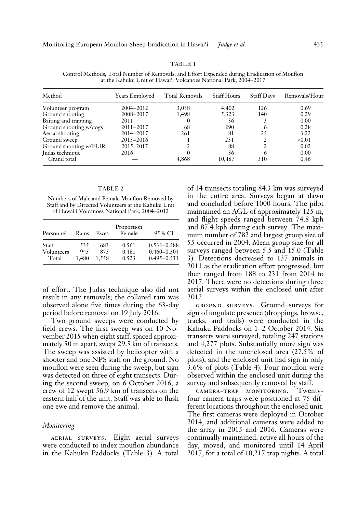#### TABLE 1

Control Methods, Total Number of Removals, and Effort Expended during Eradication of Mouflon at the Kahuku Unit of Hawai'i Volcanoes National Park, 2004–2017

| Method                 | <b>Years Employed</b> | <b>Total Removals</b> | <b>Staff Hours</b> | <b>Staff Days</b> | Removals/Hour |
|------------------------|-----------------------|-----------------------|--------------------|-------------------|---------------|
| Volunteer program      | 2004-2012             | 3,038                 | 4,402              | 126               | 0.69          |
| Ground shooting        | 2008-2017             | 1,498                 | 5,323              | 140               | 0.29          |
| Baiting and trapping   | 2011                  | $\theta$              | 36                 |                   | 0.00          |
| Ground shooting w/dogs | $2011 - 2017$         | 68                    | 290                | O                 | 0.28          |
| Aerial shooting        | 2014-2017             | 261                   | 81                 | 25                | 3.22          |
| Ground sweep           | 2015-2016             |                       | 231                |                   | < 0.01        |
| Ground shooting w/FLIR | 2015, 2017            |                       | 88                 |                   | 0.02          |
| Judas technique        | 2016                  |                       | 36                 |                   | 0.00          |
| Grand total            |                       | 4,868                 | 10.487             | 310               | 0.46          |

#### TABLE 2

Numbers of Male and Female Mouflon Removed by Staff and by Directed Volunteers at the Kahuku Unit of Hawai'i Volcanoes National Park, 2004–2012

| Rams         | Ewes         | Proportion<br>Female | 95% CI                             |
|--------------|--------------|----------------------|------------------------------------|
| 535          | 683          | 0.561                | $0.533 - 0.588$                    |
| 945<br>1.480 | 875<br>1.558 | 0.481<br>0.523       | $0.460 - 0.504$<br>$0.495 - 0.531$ |
|              |              |                      |                                    |

of effort. The Judas technique also did not result in any removals; the collared ram was observed alone five times during the 63-day period before removal on 19 July 2016.

Two ground sweeps were conducted by field crews. The first sweep was on 10 November 2015 when eight staff, spaced approximately 50 m apart, swept 29.5 km of transects. The sweep was assisted by helicopter with a shooter and one NPS staff on the ground. No mouflon were seen during the sweep, but sign was detected on three of eight transects. During the second sweep, on 6 October 2016, a crew of 12 swept 56.9 km of transects on the eastern half of the unit. Staff was able to flush one ewe and remove the animal.

#### *Monitoring*

aerial surveys. Eight aerial surveys were conducted to index mouflon abundance in the Kahuku Paddocks (Table 3). A total

of 14 transects totaling 84.3 km was surveyed in the entire area. Surveys began at dawn and concluded before 1000 hours. The pilot maintained an AGL of approximately 125 m, and flight speeds ranged between 74.8 kph and 87.4 kph during each survey. The maximum number of 782 and largest group size of 55 occurred in 2004. Mean group size for all surveys ranged between 5.5 and 15.0 (Table 3). Detections decreased to 137 animals in 2011 as the eradication effort progressed, but then ranged from 188 to 231 from 2014 to 2017. There were no detections during three aerial surveys within the enclosed unit after 2012.

ground surveys. Ground surveys for sign of ungulate presence (droppings, browse, tracks, and trails) were conducted in the Kahuku Paddocks on 1–2 October 2014. Six transects were surveyed, totaling 247 stations and 4,277 plots. Substantially more sign was detected in the unenclosed area (27.5% of plots), and the enclosed unit had sign in only 3.6% of plots (Table 4). Four mouflon were observed within the enclosed unit during the survey and subsequently removed by staff.

camera-trap monitoring. Twentyfour camera traps were positioned at 75 different locations throughout the enclosed unit. The first cameras were deployed in October 2014, and additional cameras were added to the array in 2015 and 2016. Cameras were continually maintained, active all hours of the day, moved, and monitored until 14 April 2017, for a total of 10,217 trap nights. A total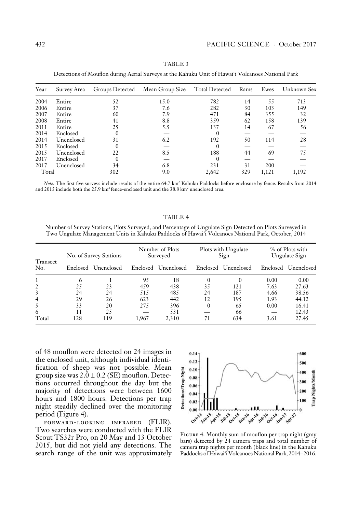| Year  | Survey Area | Groups Detected | Mean Group Size | <b>Total Detected</b> | Rams | Ewes  | Unknown Sex |
|-------|-------------|-----------------|-----------------|-----------------------|------|-------|-------------|
| 2004  | Entire      | 52              | 15.0            | 782                   | 14   | 55    | 713         |
| 2006  | Entire      | 37              | 7.6             | 282                   | 30   | 103   | 149         |
| 2007  | Entire      | 60              | 7.9             | 471                   | 84   | 355   | 32          |
| 2008  | Entire      | 41              | 8.8             | 359                   | 62   | 158   | 139         |
| 2011  | Entire      | 25              | 5.5             | 137                   | 14   | 67    | 56          |
| 2014  | Enclosed    | $\Omega$        |                 | $\Omega$              |      |       |             |
| 2014  | Unenclosed  | 31              | 6.2             | 192                   | 50   | 114   | 28          |
| 2015  | Enclosed    | $\Omega$        |                 | $\Omega$              |      |       |             |
| 2015  | Unenclosed  | 22              | 8.5             | 188                   | 44   | 69    | 75          |
| 2017  | Enclosed    | $\Omega$        |                 | $\Omega$              |      |       |             |
| 2017  | Unenclosed  | 34              | 6.8             | 231                   | 31   | 200   |             |
| Total |             | 302             | 9.0             | 2,642                 | 329  | 1,121 | 1,192       |

TABLE 3 Detections of Mouflon during Aerial Surveys at the Kahuku Unit of Hawai'i Volcanoes National Park

Note: The first five surveys include results of the entire 64.7 km<sup>2</sup> Kahuku Paddocks before enclosure by fence. Results from 2014 and 2015 include both the 25.9 km<sup>2</sup> fence-enclosed unit and the 38.8 km<sup>2</sup> unenclosed area.

#### TABLE 4

Number of Survey Stations, Plots Surveyed, and Percentage of Ungulate Sign Detected on Plots Surveyed in Two Ungulate Management Units in Kahuku Paddocks of Hawai'i Volcanoes National Park, October, 2014

| Transect<br>No. | No. of Survey Stations |                     | Number of Plots<br>Surveyed |                     | Plots with Ungulate<br>Sign |            | % of Plots with<br>Ungulate Sign |            |
|-----------------|------------------------|---------------------|-----------------------------|---------------------|-----------------------------|------------|----------------------------------|------------|
|                 |                        | Enclosed Unenclosed |                             | Enclosed Unenclosed | Enclosed                    | Unenclosed | Enclosed                         | Unenclosed |
|                 | 6                      |                     | 95                          | 18                  | 0                           | 0          | 0.00                             | 0.00       |
| 2               | 25                     | 23                  | 459                         | 438                 | 35                          | 121        | 7.63                             | 27.63      |
| 3               | 24                     | 24                  | 515                         | 485                 | 24                          | 187        | 4.66                             | 38.56      |
| $\overline{4}$  | 29                     | 26                  | 623                         | 442                 | 12                          | 195        | 1.93                             | 44.12      |
| 5               | 33                     | 20                  | 275                         | 396                 | $\mathbf{0}$                | 65         | 0.00                             | 16.41      |
| 6               | 11                     | 25                  |                             | 531                 |                             | 66         |                                  | 12.43      |
| Total           | 128                    | 119                 | 1.967                       | 2,310               | 71                          | 634        | 3.61                             | 27.45      |

of 48 mouflon were detected on 24 images in the enclosed unit, although individual identification of sheep was not possible. Mean group size was  $2.0 \pm 0.2$  (SE) mouflon. Detections occurred throughout the day but the majority of detections were between 1600 hours and 1800 hours. Detections per trap night steadily declined over the monitoring period (Figure 4).

forward-looking infrared (FLIR). Two searches were conducted with the FLIR Scout TS32r Pro, on 20 May and 13 October 2015, but did not yield any detections. The search range of the unit was approximately



Figure 4. Monthly sum of mouflon per trap night (gray bars) detected by 24 camera traps and total number of camera trap nights per month (black line) in the Kahuku Paddocks of Hawai'i Volcanoes National Park, 2014–2016.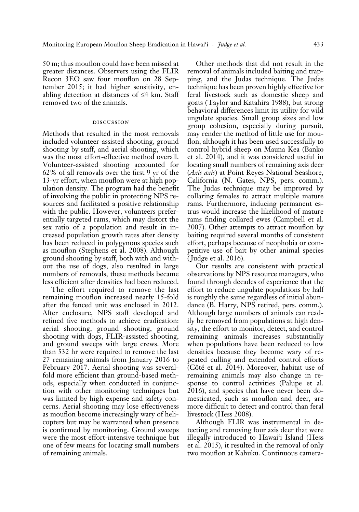50 m; thus mouflon could have been missed at greater distances. Observers using the FLIR Recon 3EO saw four mouflon on 28 September 2015; it had higher sensitivity, enabling detection at distances of ≤4 km. Staff removed two of the animals.

# discussion

Methods that resulted in the most removals included volunteer-assisted shooting, ground shooting by staff, and aerial shooting, which was the most effort-effective method overall. Volunteer-assisted shooting accounted for 62% of all removals over the first 9 yr of the 13-yr effort, when mouflon were at high population density. The program had the benefit of involving the public in protecting NPS resources and facilitated a positive relationship with the public. However, volunteers preferentially targeted rams, which may distort the sex ratio of a population and result in increased population growth rates after density has been reduced in polygynous species such as mouflon (Stephens et al. 2008). Although ground shooting by staff, both with and without the use of dogs, also resulted in large numbers of removals, these methods became less efficient after densities had been reduced.

The effort required to remove the last remaining mouflon increased nearly 15-fold after the fenced unit was enclosed in 2012. After enclosure, NPS staff developed and refined five methods to achieve eradication: aerial shooting, ground shooting, ground shooting with dogs, FLIR-assisted shooting, and ground sweeps with large crews. More than 532 hr were required to remove the last 27 remaining animals from January 2016 to February 2017. Aerial shooting was severalfold more efficient than ground-based methods, especially when conducted in conjunction with other monitoring techniques but was limited by high expense and safety concerns. Aerial shooting may lose effectiveness as mouflon become increasingly wary of helicopters but may be warranted when presence is confirmed by monitoring. Ground sweeps were the most effort-intensive technique but one of few means for locating small numbers of remaining animals.

Other methods that did not result in the removal of animals included baiting and trapping, and the Judas technique. The Judas technique has been proven highly effective for feral livestock such as domestic sheep and goats (Taylor and Katahira 1988), but strong behavioral differences limit its utility for wild ungulate species. Small group sizes and low group cohesion, especially during pursuit, may render the method of little use for mouflon, although it has been used successfully to control hybrid sheep on Mauna Kea (Banko et al. 2014), and it was considered useful in locating small numbers of remaining axis deer (*Axis axis*) at Point Reyes National Seashore, California (N. Gates, NPS, pers. comm.). The Judas technique may be improved by collaring females to attract multiple mature rams. Furthermore, inducing permanent estrus would increase the likelihood of mature rams finding collared ewes (Campbell et al. 2007). Other attempts to attract mouflon by baiting required several months of consistent effort, perhaps because of neophobia or competitive use of bait by other animal species (Judge et al. 2016).

Our results are consistent with practical observations by NPS resource managers, who found through decades of experience that the effort to reduce ungulate populations by half is roughly the same regardless of initial abundance (B. Harry, NPS retired, pers. comm.). Although large numbers of animals can readily be removed from populations at high density, the effort to monitor, detect, and control remaining animals increases substantially when populations have been reduced to low densities because they become wary of repeated culling and extended control efforts (Côté et al. 2014). Moreover, habitat use of remaining animals may also change in response to control activities (Palupe et al. 2016), and species that have never been domesticated, such as mouflon and deer, are more difficult to detect and control than feral livestock (Hess 2008).

Although FLIR was instrumental in detecting and removing four axis deer that were illegally introduced to Hawai'i Island (Hess et al. 2015), it resulted in the removal of only two mouflon at Kahuku. Continuous camera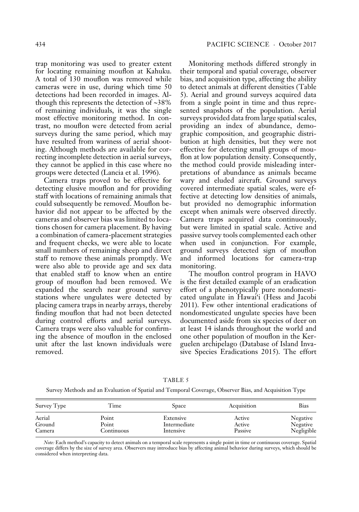for locating remaining mouflon at Kahuku. A total of 130 mouflon was removed while cameras were in use, during which time 50 detections had been recorded in images. Although this represents the detection of ~38% of remaining individuals, it was the single most effective monitoring method. In contrast, no mouflon were detected from aerial surveys during the same period, which may have resulted from wariness of aerial shooting. Although methods are available for correcting incomplete detection in aerial surveys, they cannot be applied in this case where no groups were detected (Lancia et al. 1996).

Camera traps proved to be effective for detecting elusive mouflon and for providing staff with locations of remaining animals that could subsequently be removed. Mouflon behavior did not appear to be affected by the cameras and observer bias was limited to locations chosen for camera placement. By having a combination of camera-placement strategies and frequent checks, we were able to locate small numbers of remaining sheep and direct staff to remove these animals promptly. We were also able to provide age and sex data that enabled staff to know when an entire group of mouflon had been removed. We expanded the search near ground survey stations where ungulates were detected by placing camera traps in nearby arrays, thereby finding mouflon that had not been detected during control efforts and aerial surveys. Camera traps were also valuable for confirming the absence of mouflon in the enclosed unit after the last known individuals were removed.

Monitoring methods differed strongly in their temporal and spatial coverage, observer bias, and acquisition type, affecting the ability to detect animals at different densities (Table 5). Aerial and ground surveys acquired data from a single point in time and thus represented snapshots of the population. Aerial surveys provided data from large spatial scales, providing an index of abundance, demographic composition, and geographic distribution at high densities, but they were not effective for detecting small groups of mouflon at low population density. Consequently, the method could provide misleading interpretations of abundance as animals became wary and eluded aircraft. Ground surveys covered intermediate spatial scales, were effective at detecting low densities of animals, but provided no demographic information except when animals were observed directly. Camera traps acquired data continuously, but were limited in spatial scale. Active and passive survey tools complemented each other when used in conjunction. For example, ground surveys detected sign of mouflon and informed locations for camera-trap monitoring.

The mouflon control program in HAVO is the first detailed example of an eradication effort of a phenotypically pure nondomesticated ungulate in Hawai'i (Hess and Jacobi 2011). Few other intentional eradications of nondomesticated ungulate species have been documented aside from six species of deer on at least 14 islands throughout the world and one other population of mouflon in the Kerguelen archipelago (Database of Island Invasive Species Eradications 2015). The effort

| Survey Type | Time       | <b>Space</b> | Acquisition | Bias       |  |  |
|-------------|------------|--------------|-------------|------------|--|--|
| Aerial      | Point      | Extensive    | Active      | Negative   |  |  |
| Ground      | Point      | Intermediate | Active      | Negative   |  |  |
| Camera      | Continuous | Intensive    | Passive     | Negligible |  |  |

TABLE 5 Survey Methods and an Evaluation of Spatial and Temporal Coverage, Observer Bias, and Acquisition Type

*Note:* Each method's capacity to detect animals on a temporal scale represents a single point in time or continuous coverage. Spatial coverage differs by the size of survey area. Observers may introduce bias by affecting animal behavior during surveys, which should be considered when interpreting data.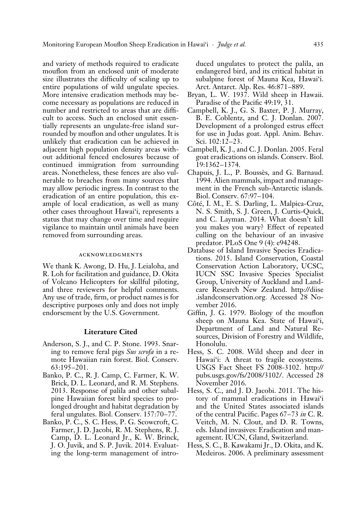and variety of methods required to eradicate mouflon from an enclosed unit of moderate size illustrates the difficulty of scaling up to entire populations of wild ungulate species. More intensive eradication methods may become necessary as populations are reduced in number and restricted to areas that are difficult to access. Such an enclosed unit essentially represents an ungulate-free island surrounded by mouflon and other ungulates. It is unlikely that eradication can be achieved in adjacent high population density areas without additional fenced enclosures because of continued immigration from surrounding areas. Nonetheless, these fences are also vulnerable to breaches from many sources that may allow periodic ingress. In contrast to the eradication of an entire population, this example of local eradication, as well as many other cases throughout Hawai'i, represents a status that may change over time and require vigilance to maintain until animals have been removed from surrounding areas.

## acknowledgments

We thank K. Awong, D. Hu, J. Leialoha, and R. Loh for facilitation and guidance, D. Okita of Volcano Helicopters for skillful piloting, and three reviewers for helpful comments. Any use of trade, firm, or product names is for descriptive purposes only and does not imply endorsement by the U.S. Government.

# **Literature Cited**

- Anderson, S. J., and C. P. Stone. 1993. Snaring to remove feral pigs *Sus scrofa* in a remote Hawaiian rain forest. Biol. Conserv. 63:195–201.
- Banko, P. C., R. J. Camp, C. Farmer, K. W. Brick, D. L. Leonard, and R. M. Stephens. 2013. Response of palila and other subalpine Hawaiian forest bird species to prolonged drought and habitat degradation by feral ungulates. Biol. Conserv. 157:70–77.
- Banko, P. C., S. C. Hess, P. G. Scowcroft, C. Farmer, J. D. Jacobi, R. M. Stephens, R. J. Camp, D. L. Leonard Jr., K. W. Brinck, J. O. Juvik, and S. P. Juvik. 2014. Evaluating the long-term management of intro-

duced ungulates to protect the palila, an endangered bird, and its critical habitat in subalpine forest of Mauna Kea, Hawai'i. Arct. Antarct. Alp. Res. 46:871–889.

- Bryan, L. W. 1937. Wild sheep in Hawaii. Paradise of the Pacific 49:19, 31.
- Campbell, K. J., G. S. Baxter, P. J. Murray, B. E. Coblentz, and C. J. Donlan. 2007. Development of a prolonged estrus effect for use in Judas goat. Appl. Anim. Behav. Sci. 102:12–23.
- Campbell, K. J., and C. J. Donlan. 2005. Feral goat eradications on islands. Conserv. Biol. 19:1362–1374.
- Chapuis, J. L., P. Boussès, and G. Barnaud. 1994. Alien mammals, impact and management in the French sub-Antarctic islands. Biol. Conserv. 67:97–104.
- Côté, I. M., E. S. Darling, L. Malpica-Cruz, N. S. Smith, S. J. Green, J. Curtis-Quick, and C. Layman. 2014. What doesn't kill you makes you wary? Effect of repeated culling on the behaviour of an invasive predator. PLoS One 9 (4): e94248.
- Database of Island Invasive Species Eradications. 2015. Island Conservation, Coastal Conservation Action Laboratory, UCSC, IUCN SSC Invasive Species Specialist Group, University of Auckland and Landcare Research New Zealand. http://diise .islandconservation.org. Accessed 28 November 2016.
- Giffin, J. G. 1979. Biology of the mouflon sheep on Mauna Kea. State of Hawai'i, Department of Land and Natural Resources, Division of Forestry and Wildlife, Honolulu.
- Hess, S. C. 2008. Wild sheep and deer in Hawai'i: A threat to fragile ecosystems. USGS Fact Sheet FS 2008-3102. http:// pubs.usgs.gov/fs/2008/3102/. Accessed 28 November 2016.
- Hess, S. C., and J. D. Jacobi. 2011. The history of mammal eradications in Hawai'i and the United States associated islands of the central Pacific. Pages 67–73 *in* C. R. Veitch, M. N. Clout, and D. R. Towns, eds. Island invasives: Eradication and management. IUCN, Gland, Switzerland.
- Hess, S. C., B. Kawakami Jr., D. Okita, and K. Medeiros. 2006. A preliminary assessment